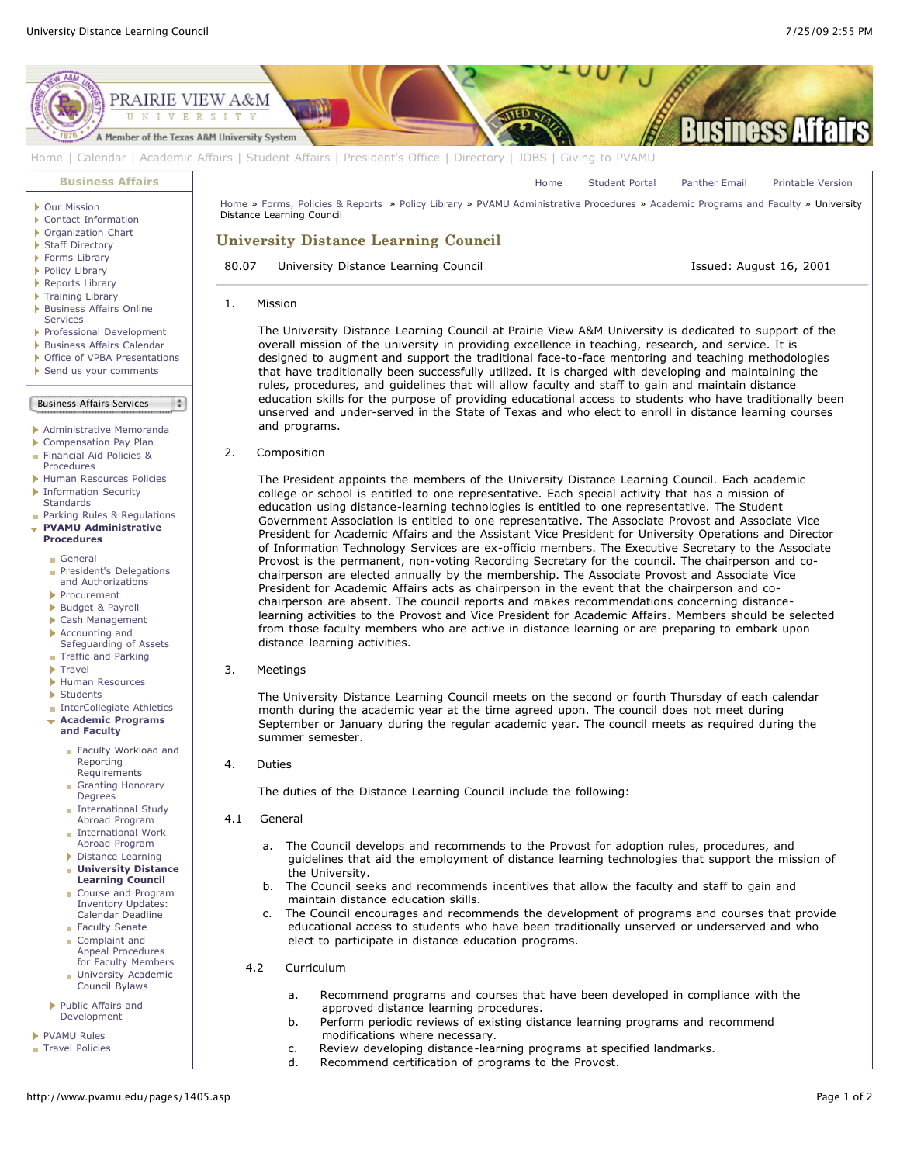

[Home](http://www.pvamu.edu/pages/1.asp) | [Calendar](http://www.pvamu.edu/pages/222.asp) | [Academic Affairs](http://www.pvamu.edu/pages/116.asp) | [Student Affairs](http://www.pvamu.edu/pages/1441.asp) | [President's Office](http://www.pvamu.edu/pages/117.asp) | [Directory](http://www.pvamu.edu/pages/225.asp) | [JOBS](http://www.pvamu.edu/pages/118.asp) | [Giving to PVAMU](http://www.pvamu.edu/giving)

#### **[Business Affairs](http://www.pvamu.edu/pages/102.asp)**

- [Our Mission](http://www.pvamu.edu/pages/3012.asp)
- [Contact Information](http://www.pvamu.edu/pages/527.asp)
- ▶ [Organization Chart](http://www.pvamu.edu/pages/528.asp)
- ▶ [Staff Directory](http://www.pvamu.edu/pages/529.asp)
- ▶ [Forms Library](http://www.pvamu.edu/pages/531.asp)
- [Policy Library](http://www.pvamu.edu/pages/532.asp)
- ▶ [Reports Library](http://www.pvamu.edu/pages/533.asp)
- ▶ [Training Library](http://www.pvamu.edu/pages/4512.asp) **[Business Affairs Online](http://www.pvamu.edu/pages/5583.asp)**
- Services
- [Professional Development](http://www.pvamu.edu/pages/4966.asp)
- [Business Affairs Calendar](http://www.pvamu.edu/pages/534.asp)
- ▶ [Office of VPBA Presentations](http://www.pvamu.edu/pages/2940.asp)
- [Send us your comments](http://www.pvamu.edu/pages/535.asp)

## Business Affairs Services

 $\frac{1}{2}$ 

- 
- [Administrative Memoranda](http://www.pvamu.edu/pages/1230.asp)
- [Compensation Pay Plan](http://www.pvamu.edu/pages/2078.asp)
- [Financial Aid Policies &](http://www.pvamu.edu/pages/2636.asp)
- Procedures
- [Human Resources Policies](http://www.pvamu.edu/pages/679.asp) **[Information Security](http://www.pvamu.edu/pages/2492.asp) Standards**
- **[Parking Rules & Regulations](http://www.pvamu.edu/pages/1233.asp)**
- **[PVAMU Administrative](http://www.pvamu.edu/pages/1234.asp) Procedures**
	- [General](http://www.pvamu.edu/pages/1235.asp)
	- [President's Delegations](http://www.pvamu.edu/pages/1236.asp) and Authorizations
	- [Procurement](http://www.pvamu.edu/pages/1239.asp)
	- [Budget & Payroll](http://www.pvamu.edu/pages/1251.asp)
	- [Cash Management](http://www.pvamu.edu/pages/1328.asp)
	- Accounting and
	- [Safeguarding of Assets](http://www.pvamu.edu/pages/1335.asp) **[Traffic and Parking](http://www.pvamu.edu/pages/1348.asp)**
	- **[Travel](http://www.pvamu.edu/pages/1350.asp)**
	- [Human Resources](http://www.pvamu.edu/pages/1358.asp)
	- [Students](http://www.pvamu.edu/pages/1374.asp)
	- **[InterCollegiate Athletics](http://www.pvamu.edu/pages/1390.asp)**
	- **[Academic Programs](http://www.pvamu.edu/pages/1391.asp) and Faculty**
		- [Faculty Workload and](http://www.pvamu.edu/pages/1392.asp) Reporting Requirements
		- [Granting Honorary](http://www.pvamu.edu/pages/1393.asp) Degrees
		- [International Study](http://www.pvamu.edu/pages/1394.asp) Abroad Program
		- **[International Work](http://www.pvamu.edu/pages/1395.asp)** Abroad Program
		- [Distance Learning](http://www.pvamu.edu/pages/1396.asp) **[University Distance](http://www.pvamu.edu/pages/1405.asp)**
		- **Learning Council** [Course and Program](http://www.pvamu.edu/pages/1406.asp) Inventory Updates: Calendar Deadline
		- [Faculty Senate](http://www.pvamu.edu/pages/1407.asp) Complaint and
		- Appeal Procedures [for Faculty Members](http://www.pvamu.edu/pages/1408.asp) **[University Academic](http://www.pvamu.edu/pages/1409.asp)**
	- Council Bylaws ь [Public Affairs and](http://www.pvamu.edu/pages/1410.asp)
	- Development
- **[PVAMU Rules](http://www.pvamu.edu/pages/1412.asp) [Travel Policies](http://www.pvamu.edu/pages/1414.asp)**
- 

[Home](http://www.pvamu.edu/pages/1.asp) » [Forms, Policies & Reports](http://www.pvamu.edu/pages/5302.asp) » [Policy Library](http://www.pvamu.edu/pages/532.asp) » [PVAMU Administrative Procedures](http://www.pvamu.edu/pages/1234.asp) » [Academic Programs and Faculty](http://www.pvamu.edu/pages/1391.asp) » University Distance Learning Council University Distance Learning Council

# 80.07 University Distance Learning Council **Issued: August 16, 2001**

[Home](http://www.pvamu.edu/pages/1.asp) [Student Portal](http://panthertracks.pvamu.edu/) [Panther Email](http://www.pvamu.edu/pages/1740.asp) [Printable Version](http://www.pvamu.edu/print/1405.asp)

1. Mission

 The University Distance Learning Council at Prairie View A&M University is dedicated to support of the overall mission of the university in providing excellence in teaching, research, and service. It is designed to augment and support the traditional face-to-face mentoring and teaching methodologies that have traditionally been successfully utilized. It is charged with developing and maintaining the rules, procedures, and guidelines that will allow faculty and staff to gain and maintain distance education skills for the purpose of providing educational access to students who have traditionally been unserved and under-served in the State of Texas and who elect to enroll in distance learning courses and programs.

2. Composition

 The President appoints the members of the University Distance Learning Council. Each academic college or school is entitled to one representative. Each special activity that has a mission of education using distance-learning technologies is entitled to one representative. The Student Government Association is entitled to one representative. The Associate Provost and Associate Vice President for Academic Affairs and the Assistant Vice President for University Operations and Director of Information Technology Services are ex-officio members. The Executive Secretary to the Associate Provost is the permanent, non-voting Recording Secretary for the council. The chairperson and co chairperson are elected annually by the membership. The Associate Provost and Associate Vice President for Academic Affairs acts as chairperson in the event that the chairperson and co chairperson are absent. The council reports and makes recommendations concerning distance learning activities to the Provost and Vice President for Academic Affairs. Members should be selected from those faculty members who are active in distance learning or are preparing to embark upon distance learning activities.

#### 3. Meetings

 The University Distance Learning Council meets on the second or fourth Thursday of each calendar month during the academic year at the time agreed upon. The council does not meet during September or January during the regular academic year. The council meets as required during the summer semester.

## 4. Duties

The duties of the Distance Learning Council include the following:

- 4.1 General
	- a. The Council develops and recommends to the Provost for adoption rules, procedures, and guidelines that aid the employment of distance learning technologies that support the mission of the University.
	- b. The Council seeks and recommends incentives that allow the faculty and staff to gain and maintain distance education skills.
	- c. The Council encourages and recommends the development of programs and courses that provide educational access to students who have been traditionally unserved or underserved and who elect to participate in distance education programs.
	- 4.2 Curriculum
		- a. Recommend programs and courses that have been developed in compliance with the approved distance learning procedures.
		- b. Perform periodic reviews of existing distance learning programs and recommend modifications where necessary.
		- c. Review developing distance-learning programs at specified landmarks.
		- d. Recommend certification of programs to the Provost.